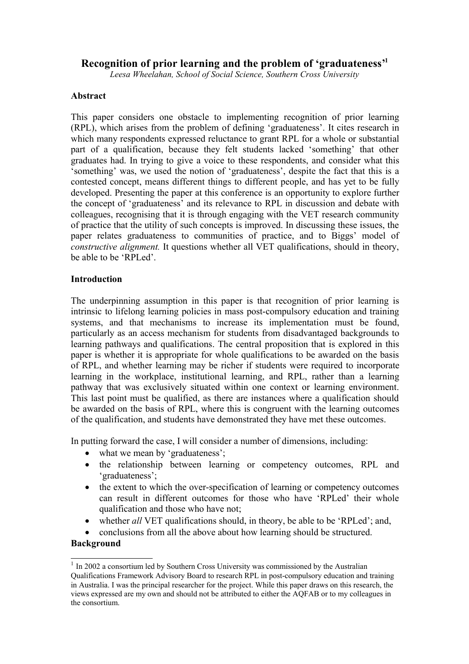# **Recognition of prior learning and the problem of 'graduateness' 1**

*Leesa Wheelahan, School of Social Science, Southern Cross University*

### **Abstract**

This paper considers one obstacle to implementing recognition of prior learning (RPL), which arises from the problem of defining 'graduateness'. It cites research in which many respondents expressed reluctance to grant RPL for a whole or substantial part of a qualification, because they felt students lacked 'something' that other graduates had. In trying to give a voice to these respondents, and consider what this 'something' was, we used the notion of 'graduateness', despite the fact that this is a contested concept, means different things to different people, and has yet to be fully developed. Presenting the paper at this conference is an opportunity to explore further the concept of 'graduateness' and its relevance to RPL in discussion and debate with colleagues, recognising that it is through engaging with the VET research community of practice that the utility of such concepts is improved. In discussing these issues, the paper relates graduateness to communities of practice, and to Biggs' model of *constructive alignment.* It questions whether all VET qualifications, should in theory, be able to be 'RPLed'.

### **Introduction**

The underpinning assumption in this paper is that recognition of prior learning is intrinsic to lifelong learning policies in mass post-compulsory education and training systems, and that mechanisms to increase its implementation must be found, particularly as an access mechanism for students from disadvantaged backgrounds to learning pathways and qualifications. The central proposition that is explored in this paper is whether it is appropriate for whole qualifications to be awarded on the basis of RPL, and whether learning may be richer if students were required to incorporate learning in the workplace, institutional learning, and RPL, rather than a learning pathway that was exclusively situated within one context or learning environment. This last point must be qualified, as there are instances where a qualification should be awarded on the basis of RPL, where this is congruent with the learning outcomes of the qualification, and students have demonstrated they have met these outcomes.

In putting forward the case, I will consider a number of dimensions, including:

- what we mean by 'graduateness';
- the relationship between learning or competency outcomes, RPL and 'graduateness';
- the extent to which the over-specification of learning or competency outcomes can result in different outcomes for those who have 'RPLed' their whole qualification and those who have not;
- whether *all* VET qualifications should, in theory, be able to be 'RPLed'; and,
- conclusions from all the above about how learning should be structured.

## **Background**

<sup>&</sup>lt;sup>1</sup> In 2002 a consortium led by Southern Cross University was commissioned by the Australian Qualifications Framework Advisory Board to research RPL in post-compulsory education and training in Australia. I was the principal researcher for the project. While this paper draws on this research, the views expressed are my own and should not be attributed to either the AQFAB or to my colleagues in the consortium.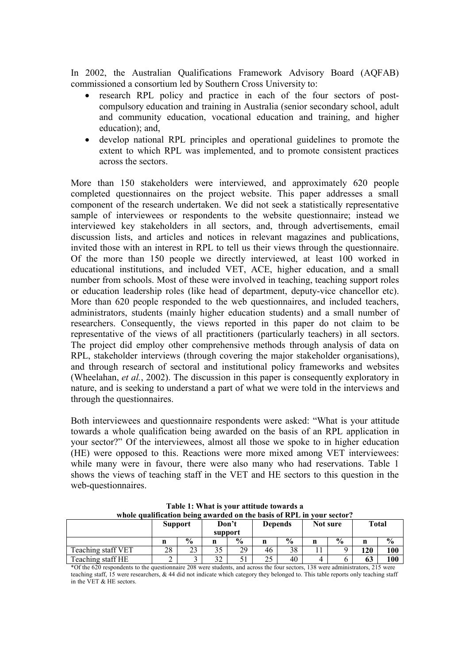In 2002, the Australian Qualifications Framework Advisory Board (AQFAB) commissioned a consortium led by Southern Cross University to:

- research RPL policy and practice in each of the four sectors of postcompulsory education and training in Australia (senior secondary school, adult and community education, vocational education and training, and higher education); and,
- develop national RPL principles and operational guidelines to promote the extent to which RPL was implemented, and to promote consistent practices across the sectors.

More than 150 stakeholders were interviewed, and approximately 620 people completed questionnaires on the project website. This paper addresses a small component of the research undertaken. We did not seek a statistically representative sample of interviewees or respondents to the website questionnaire; instead we interviewed key stakeholders in all sectors, and, through advertisements, email discussion lists, and articles and notices in relevant magazines and publications, invited those with an interest in RPL to tell us their views through the questionnaire. Of the more than 150 people we directly interviewed, at least 100 worked in educational institutions, and included VET, ACE, higher education, and a small number from schools. Most of these were involved in teaching, teaching support roles or education leadership roles (like head of department, deputy-vice chancellor etc). More than 620 people responded to the web questionnaires, and included teachers, administrators, students (mainly higher education students) and a small number of researchers. Consequently, the views reported in this paper do not claim to be representative of the views of all practitioners (particularly teachers) in all sectors. The project did employ other comprehensive methods through analysis of data on RPL, stakeholder interviews (through covering the major stakeholder organisations), and through research of sectoral and institutional policy frameworks and websites (Wheelahan, *et al.*, 2002). The discussion in this paper is consequently exploratory in nature, and is seeking to understand a part of what we were told in the interviews and through the questionnaires.

Both interviewees and questionnaire respondents were asked: "What is your attitude towards a whole qualification being awarded on the basis of an RPL application in your sector?" Of the interviewees, almost all those we spoke to in higher education (HE) were opposed to this. Reactions were more mixed among VET interviewees: while many were in favour, there were also many who had reservations. Table 1 shows the views of teaching staff in the VET and HE sectors to this question in the web-questionnaires.

| whole qualification being awarded on the basis of RPL in your sector? |                                                                      |               |                  |               |                |               |          |               |              |               |
|-----------------------------------------------------------------------|----------------------------------------------------------------------|---------------|------------------|---------------|----------------|---------------|----------|---------------|--------------|---------------|
|                                                                       | <b>Support</b>                                                       |               | Don't<br>support |               | <b>Depends</b> |               | Not sure |               | <b>Total</b> |               |
|                                                                       | n                                                                    | $\frac{0}{0}$ | n                | $\frac{0}{0}$ | n              | $\frac{6}{9}$ |          | $\frac{0}{0}$ | n            | $\frac{0}{0}$ |
| Teaching staff VET                                                    | 28                                                                   | 23            | 35               | 29            | 46             | 38            |          |               | 120          | 100           |
| Teaching staff HE                                                     |                                                                      |               | 32               |               | 25             | 40            | 4        |               | 63           | 100           |
| $\mathbf{a} \wedge \mathbf{a}$ $\mathbf{a}$                           | $\sim$ $\sim$<br>.<br>$\sim$ $\sim$<br>$\mathbf{a}$<br>$\sim$ $\sim$ |               |                  |               |                |               |          |               |              |               |

**Table 1: What is your attitude towards a whole qualification being awarded on the basis of RPL in your sector?**

\*Of the 620 respondents to the questionnaire 208 were students, and across the four sectors, 138 were administrators, 215 were teaching staff, 15 were researchers, & 44 did not indicate which category they belonged to. This table reports only teaching staff in the VET & HE sectors.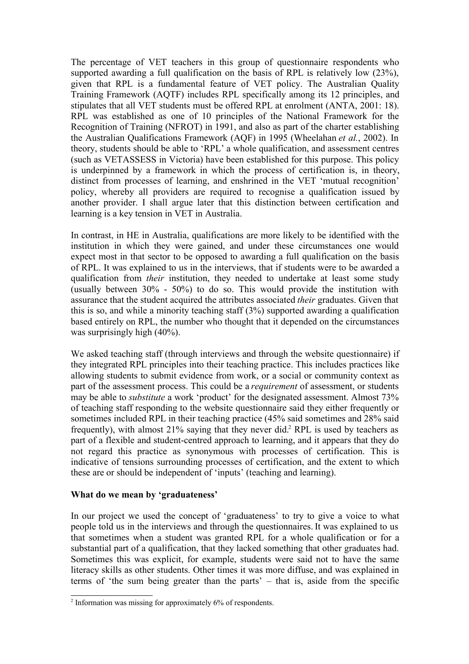The percentage of VET teachers in this group of questionnaire respondents who supported awarding a full qualification on the basis of RPL is relatively low (23%), given that RPL is a fundamental feature of VET policy. The Australian Quality Training Framework (AQTF) includes RPL specifically among its 12 principles, and stipulates that all VET students must be offered RPL at enrolment (ANTA, 2001: 18). RPL was established as one of 10 principles of the National Framework for the Recognition of Training (NFROT) in 1991, and also as part of the charter establishing the Australian Qualifications Framework (AQF) in 1995 (Wheelahan *et al.*, 2002). In theory, students should be able to 'RPL' a whole qualification, and assessment centres (such as VETASSESS in Victoria) have been established for this purpose. This policy is underpinned by a framework in which the process of certification is, in theory, distinct from processes of learning, and enshrined in the VET 'mutual recognition' policy, whereby all providers are required to recognise a qualification issued by another provider. I shall argue later that this distinction between certification and learning is a key tension in VET in Australia.

In contrast, in HE in Australia, qualifications are more likely to be identified with the institution in which they were gained, and under these circumstances one would expect most in that sector to be opposed to awarding a full qualification on the basis of RPL. It was explained to us in the interviews, that if students were to be awarded a qualification from *their* institution, they needed to undertake at least some study (usually between 30% - 50%) to do so. This would provide the institution with assurance that the student acquired the attributes associated *their* graduates. Given that this is so, and while a minority teaching staff (3%) supported awarding a qualification based entirely on RPL, the number who thought that it depended on the circumstances was surprisingly high (40%).

We asked teaching staff (through interviews and through the website questionnaire) if they integrated RPL principles into their teaching practice. This includes practices like allowing students to submit evidence from work, or a social or community context as part of the assessment process. This could be a *requirement* of assessment, or students may be able to *substitute* a work 'product' for the designated assessment. Almost 73% of teaching staff responding to the website questionnaire said they either frequently or sometimes included RPL in their teaching practice (45% said sometimes and 28% said frequently), with almost 21% saying that they never did.<sup>2</sup> RPL is used by teachers as part of a flexible and student-centred approach to learning, and it appears that they do not regard this practice as synonymous with processes of certification. This is indicative of tensions surrounding processes of certification, and the extent to which these are or should be independent of 'inputs' (teaching and learning).

### **What do we mean by 'graduateness'**

In our project we used the concept of 'graduateness' to try to give a voice to what people told us in the interviews and through the questionnaires. It was explained to us that sometimes when a student was granted RPL for a whole qualification or for a substantial part of a qualification, that they lacked something that other graduates had. Sometimes this was explicit, for example, students were said not to have the same literacy skills as other students. Other times it was more diffuse, and was explained in terms of 'the sum being greater than the parts' – that is, aside from the specific

<sup>&</sup>lt;sup>2</sup> Information was missing for approximately 6% of respondents.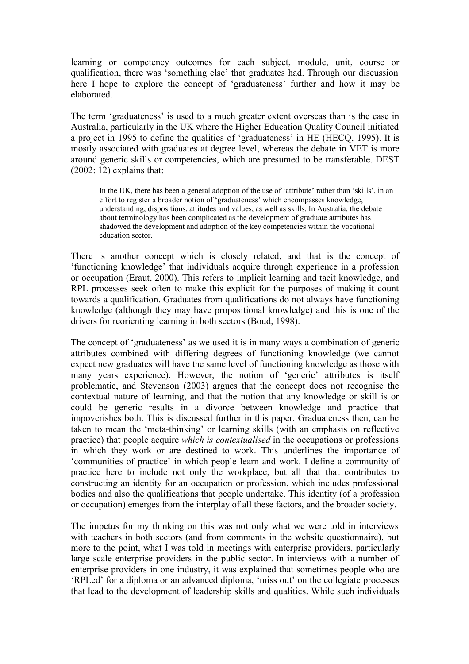learning or competency outcomes for each subject, module, unit, course or qualification, there was 'something else' that graduates had. Through our discussion here I hope to explore the concept of 'graduateness' further and how it may be elaborated.

The term 'graduateness' is used to a much greater extent overseas than is the case in Australia, particularly in the UK where the Higher Education Quality Council initiated a project in 1995 to define the qualities of 'graduateness' in HE (HECQ, 1995). It is mostly associated with graduates at degree level, whereas the debate in VET is more around generic skills or competencies, which are presumed to be transferable. DEST  $(2002: 12)$  explains that:

In the UK, there has been a general adoption of the use of 'attribute' rather than 'skills', in an effort to register a broader notion of 'graduateness' which encompasses knowledge, understanding, dispositions, attitudes and values, as well as skills. In Australia, the debate about terminology has been complicated as the development of graduate attributes has shadowed the development and adoption of the key competencies within the vocational education sector.

There is another concept which is closely related, and that is the concept of 'functioning knowledge' that individuals acquire through experience in a profession or occupation (Eraut, 2000). This refers to implicit learning and tacit knowledge, and RPL processes seek often to make this explicit for the purposes of making it count towards a qualification. Graduates from qualifications do not always have functioning knowledge (although they may have propositional knowledge) and this is one of the drivers for reorienting learning in both sectors (Boud, 1998).

The concept of 'graduateness' as we used it is in many ways a combination of generic attributes combined with differing degrees of functioning knowledge (we cannot expect new graduates will have the same level of functioning knowledge as those with many years experience). However, the notion of 'generic' attributes is itself problematic, and Stevenson (2003) argues that the concept does not recognise the contextual nature of learning, and that the notion that any knowledge or skill is or could be generic results in a divorce between knowledge and practice that impoverishes both. This is discussed further in this paper. Graduateness then, can be taken to mean the 'meta-thinking' or learning skills (with an emphasis on reflective practice) that people acquire *which is contextualised* in the occupations or professions in which they work or are destined to work. This underlines the importance of 'communities of practice' in which people learn and work. I define a community of practice here to include not only the workplace, but all that that contributes to constructing an identity for an occupation or profession, which includes professional bodies and also the qualifications that people undertake. This identity (of a profession or occupation) emerges from the interplay of all these factors, and the broader society.

The impetus for my thinking on this was not only what we were told in interviews with teachers in both sectors (and from comments in the website questionnaire), but more to the point, what I was told in meetings with enterprise providers, particularly large scale enterprise providers in the public sector. In interviews with a number of enterprise providers in one industry, it was explained that sometimes people who are 'RPLed' for a diploma or an advanced diploma, 'miss out' on the collegiate processes that lead to the development of leadership skills and qualities. While such individuals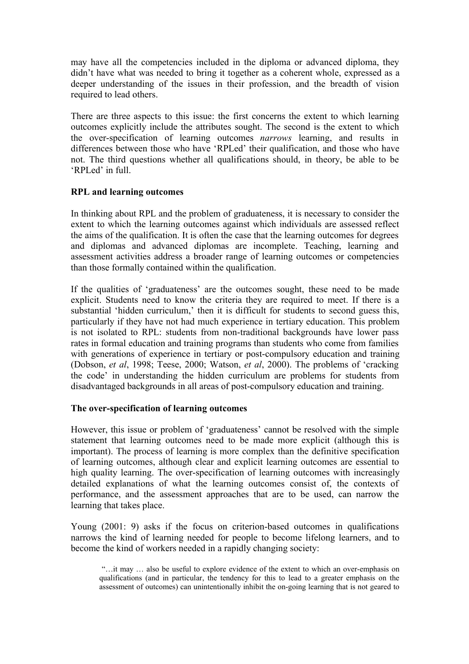may have all the competencies included in the diploma or advanced diploma, they didn't have what was needed to bring it together as a coherent whole, expressed as a deeper understanding of the issues in their profession, and the breadth of vision required to lead others.

There are three aspects to this issue: the first concerns the extent to which learning outcomes explicitly include the attributes sought. The second is the extent to which the over-specification of learning outcomes *narrows* learning, and results in differences between those who have 'RPLed' their qualification, and those who have not. The third questions whether all qualifications should, in theory, be able to be 'RPLed' in full.

## **RPL and learning outcomes**

In thinking about RPL and the problem of graduateness, it is necessary to consider the extent to which the learning outcomes against which individuals are assessed reflect the aims of the qualification. It is often the case that the learning outcomes for degrees and diplomas and advanced diplomas are incomplete. Teaching, learning and assessment activities address a broader range of learning outcomes or competencies than those formally contained within the qualification.

If the qualities of 'graduateness' are the outcomes sought, these need to be made explicit. Students need to know the criteria they are required to meet. If there is a substantial 'hidden curriculum,' then it is difficult for students to second guess this, particularly if they have not had much experience in tertiary education. This problem is not isolated to RPL: students from non-traditional backgrounds have lower pass rates in formal education and training programs than students who come from families with generations of experience in tertiary or post-compulsory education and training (Dobson, *et al*, 1998; Teese, 2000; Watson, *et al*, 2000). The problems of 'cracking the code' in understanding the hidden curriculum are problems for students from disadvantaged backgrounds in all areas of post-compulsory education and training.

## **The over-specification of learning outcomes**

However, this issue or problem of 'graduateness' cannot be resolved with the simple statement that learning outcomes need to be made more explicit (although this is important). The process of learning is more complex than the definitive specification of learning outcomes, although clear and explicit learning outcomes are essential to high quality learning. The over-specification of learning outcomes with increasingly detailed explanations of what the learning outcomes consist of, the contexts of performance, and the assessment approaches that are to be used, can narrow the learning that takes place.

Young (2001: 9) asks if the focus on criterion-based outcomes in qualifications narrows the kind of learning needed for people to become lifelong learners, and to become the kind of workers needed in a rapidly changing society:

"…it may … also be useful to explore evidence of the extent to which an over-emphasis on qualifications (and in particular, the tendency for this to lead to a greater emphasis on the assessment of outcomes) can unintentionally inhibit the on-going learning that is not geared to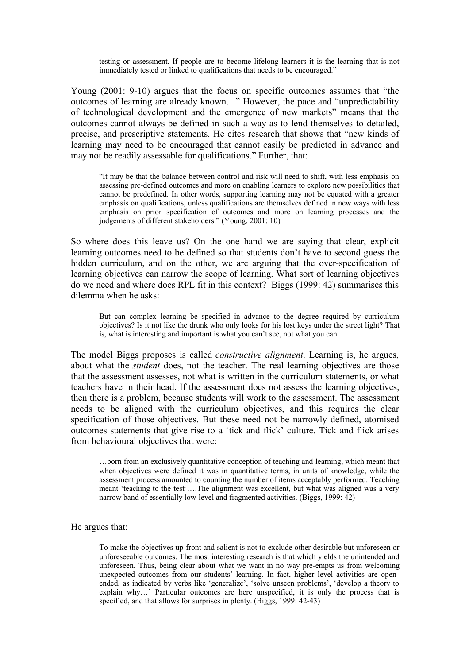testing or assessment. If people are to become lifelong learners it is the learning that is not immediately tested or linked to qualifications that needs to be encouraged."

Young (2001: 9-10) argues that the focus on specific outcomes assumes that "the outcomes of learning are already known…" However, the pace and "unpredictability of technological development and the emergence of new markets" means that the outcomes cannot always be defined in such a way as to lend themselves to detailed, precise, and prescriptive statements. He cites research that shows that "new kinds of learning may need to be encouraged that cannot easily be predicted in advance and may not be readily assessable for qualifications." Further, that:

"It may be that the balance between control and risk will need to shift, with less emphasis on assessing pre-defined outcomes and more on enabling learners to explore new possibilities that cannot be predefined. In other words, supporting learning may not be equated with a greater emphasis on qualifications, unless qualifications are themselves defined in new ways with less emphasis on prior specification of outcomes and more on learning processes and the judgements of different stakeholders." (Young, 2001: 10)

So where does this leave us? On the one hand we are saying that clear, explicit learning outcomes need to be defined so that students don't have to second guess the hidden curriculum, and on the other, we are arguing that the over-specification of learning objectives can narrow the scope of learning. What sort of learning objectives do we need and where does RPL fit in this context? Biggs (1999: 42) summarises this dilemma when he asks:

But can complex learning be specified in advance to the degree required by curriculum objectives? Is it not like the drunk who only looks for his lost keys under the street light? That is, what is interesting and important is what you can't see, not what you can.

The model Biggs proposes is called *constructive alignment*. Learning is, he argues, about what the *student* does, not the teacher. The real learning objectives are those that the assessment assesses, not what is written in the curriculum statements, or what teachers have in their head. If the assessment does not assess the learning objectives, then there is a problem, because students will work to the assessment. The assessment needs to be aligned with the curriculum objectives, and this requires the clear specification of those objectives. But these need not be narrowly defined, atomised outcomes statements that give rise to a 'tick and flick' culture. Tick and flick arises from behavioural objectives that were:

…born from an exclusively quantitative conception of teaching and learning, which meant that when objectives were defined it was in quantitative terms, in units of knowledge, while the assessment process amounted to counting the number of items acceptably performed. Teaching meant 'teaching to the test'….The alignment was excellent, but what was aligned was a very narrow band of essentially low-level and fragmented activities. (Biggs, 1999: 42)

#### He argues that:

To make the objectives up-front and salient is not to exclude other desirable but unforeseen or unforeseeable outcomes. The most interesting research is that which yields the unintended and unforeseen. Thus, being clear about what we want in no way pre-empts us from welcoming unexpected outcomes from our students' learning. In fact, higher level activities are openended, as indicated by verbs like 'generalize', 'solve unseen problems', 'develop a theory to explain why…' Particular outcomes are here unspecified, it is only the process that is specified, and that allows for surprises in plenty. (Biggs, 1999: 42-43)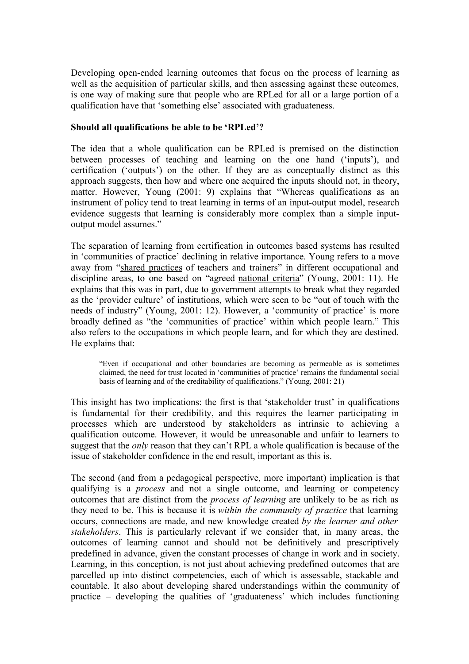Developing open-ended learning outcomes that focus on the process of learning as well as the acquisition of particular skills, and then assessing against these outcomes, is one way of making sure that people who are RPLed for all or a large portion of a qualification have that 'something else' associated with graduateness.

### **Should all qualifications be able to be 'RPLed'?**

The idea that a whole qualification can be RPLed is premised on the distinction between processes of teaching and learning on the one hand ('inputs'), and certification ('outputs') on the other. If they are as conceptually distinct as this approach suggests, then how and where one acquired the inputs should not, in theory, matter. However, Young (2001: 9) explains that "Whereas qualifications as an instrument of policy tend to treat learning in terms of an input-output model, research evidence suggests that learning is considerably more complex than a simple inputoutput model assumes."

The separation of learning from certification in outcomes based systems has resulted in 'communities of practice' declining in relative importance. Young refers to a move away from "shared practices of teachers and trainers" in different occupational and discipline areas, to one based on "agreed national criteria" (Young, 2001: 11). He explains that this was in part, due to government attempts to break what they regarded as the 'provider culture' of institutions, which were seen to be "out of touch with the needs of industry" (Young, 2001: 12). However, a 'community of practice' is more broadly defined as "the 'communities of practice' within which people learn." This also refers to the occupations in which people learn, and for which they are destined. He explains that:

"Even if occupational and other boundaries are becoming as permeable as is sometimes claimed, the need for trust located in 'communities of practice' remains the fundamental social basis of learning and of the creditability of qualifications." (Young, 2001: 21)

This insight has two implications: the first is that 'stakeholder trust' in qualifications is fundamental for their credibility, and this requires the learner participating in processes which are understood by stakeholders as intrinsic to achieving a qualification outcome. However, it would be unreasonable and unfair to learners to suggest that the *only* reason that they can't RPL a whole qualification is because of the issue of stakeholder confidence in the end result, important as this is.

The second (and from a pedagogical perspective, more important) implication is that qualifying is a *process* and not a single outcome, and learning or competency outcomes that are distinct from the *process of learning* are unlikely to be as rich as they need to be. This is because it is *within the community of practice* that learning occurs, connections are made, and new knowledge created *by the learner and other stakeholders*. This is particularly relevant if we consider that, in many areas, the outcomes of learning cannot and should not be definitively and prescriptively predefined in advance, given the constant processes of change in work and in society. Learning, in this conception, is not just about achieving predefined outcomes that are parcelled up into distinct competencies, each of which is assessable, stackable and countable. It also about developing shared understandings within the community of practice – developing the qualities of 'graduateness' which includes functioning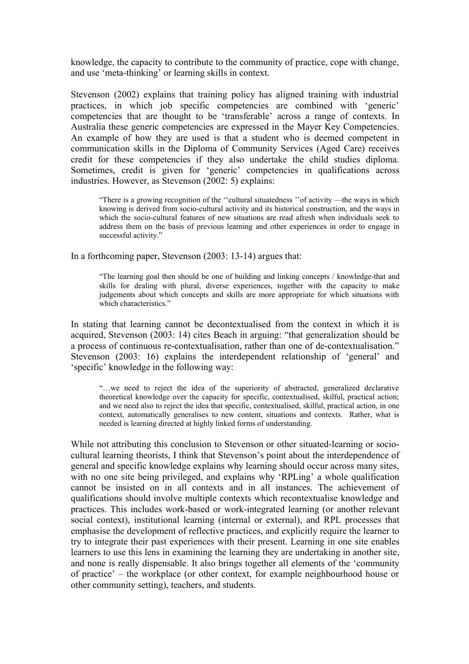knowledge, the capacity to contribute to the community of practice, cope with change, and use 'meta-thinking' or learning skills in context.

Stevenson (2002) explains that training policy has aligned training with industrial practices, in which job specific competencies are combined with 'generic' competencies that are thought to be 'transferable' across a range of contexts. In Australia these generic competencies are expressed in the Mayer Key Competencies. An example of how they are used is that a student who is deemed competent in communication skills in the Diploma of Community Services (Aged Care) receives credit for these competencies if they also undertake the child studies diploma. Sometimes, credit is given for 'generic' competencies in qualifications across industries. However, as Stevenson (2002: 5) explains:

"There is a growing recognition of the ''cultural situatedness ''of activity —the ways in which knowing is derived from socio-cultural activity and its historical construction, and the ways in which the socio-cultural features of new situations are read afresh when individuals seek to address them on the basis of previous learning and other experiences in order to engage in successful activity."

In a forthcoming paper, Stevenson (2003: 13-14) argues that:

"The learning goal then should be one of building and linking concepts / knowledge-that and skills for dealing with plural, diverse experiences, together with the capacity to make judgements about which concepts and skills are more appropriate for which situations with which characteristics."

In stating that learning cannot be decontextualised from the context in which it is acquired, Stevenson (2003: 14) cites Beach in arguing: "that generalization should be a process of continuous re-contextualisation, rather than one of de-contextualisation." Stevenson (2003: 16) explains the interdependent relationship of 'general' and 'specific' knowledge in the following way:

"…we need to reject the idea of the superiority of abstracted, generalized declarative theoretical knowledge over the capacity for specific, contextualised, skilful, practical action; and we need also to reject the idea that specific, contextualised, skilful, practical action, in one context, automatically generalises to new content, situations and contexts. Rather, what is needed is learning directed at highly linked forms of understanding.

While not attributing this conclusion to Stevenson or other situated-learning or sociocultural learning theorists, I think that Stevenson's point about the interdependence of general and specific knowledge explains why learning should occur across many sites, with no one site being privileged, and explains why 'RPLing' a whole qualification cannot be insisted on in all contexts and in all instances. The achievement of qualifications should involve multiple contexts which recontextualise knowledge and practices. This includes work-based or work-integrated learning (or another relevant social context), institutional learning (internal or external), and RPL processes that emphasise the development of reflective practices, and explicitly require the learner to try to integrate their past experiences with their present. Learning in one site enables learners to use this lens in examining the learning they are undertaking in another site, and none is really dispensable. It also brings together all elements of the 'community of practice' – the workplace (or other context, for example neighbourhood house or other community setting), teachers, and students.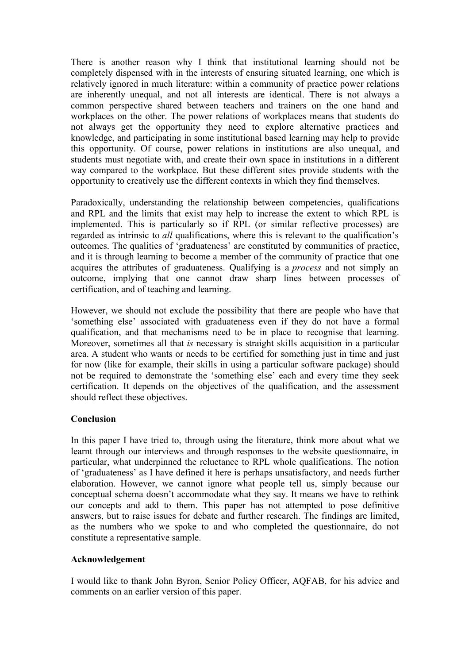There is another reason why I think that institutional learning should not be completely dispensed with in the interests of ensuring situated learning, one which is relatively ignored in much literature: within a community of practice power relations are inherently unequal, and not all interests are identical. There is not always a common perspective shared between teachers and trainers on the one hand and workplaces on the other. The power relations of workplaces means that students do not always get the opportunity they need to explore alternative practices and knowledge, and participating in some institutional based learning may help to provide this opportunity. Of course, power relations in institutions are also unequal, and students must negotiate with, and create their own space in institutions in a different way compared to the workplace. But these different sites provide students with the opportunity to creatively use the different contexts in which they find themselves.

Paradoxically, understanding the relationship between competencies, qualifications and RPL and the limits that exist may help to increase the extent to which RPL is implemented. This is particularly so if RPL (or similar reflective processes) are regarded as intrinsic to *all* qualifications, where this is relevant to the qualification's outcomes. The qualities of 'graduateness' are constituted by communities of practice, and it is through learning to become a member of the community of practice that one acquires the attributes of graduateness. Qualifying is a *process* and not simply an outcome, implying that one cannot draw sharp lines between processes of certification, and of teaching and learning.

However, we should not exclude the possibility that there are people who have that 'something else' associated with graduateness even if they do not have a formal qualification, and that mechanisms need to be in place to recognise that learning. Moreover, sometimes all that *is* necessary is straight skills acquisition in a particular area. A student who wants or needs to be certified for something just in time and just for now (like for example, their skills in using a particular software package) should not be required to demonstrate the 'something else' each and every time they seek certification. It depends on the objectives of the qualification, and the assessment should reflect these objectives.

### **Conclusion**

In this paper I have tried to, through using the literature, think more about what we learnt through our interviews and through responses to the website questionnaire, in particular, what underpinned the reluctance to RPL whole qualifications. The notion of 'graduateness' as I have defined it here is perhaps unsatisfactory, and needs further elaboration. However, we cannot ignore what people tell us, simply because our conceptual schema doesn't accommodate what they say. It means we have to rethink our concepts and add to them. This paper has not attempted to pose definitive answers, but to raise issues for debate and further research. The findings are limited, as the numbers who we spoke to and who completed the questionnaire, do not constitute a representative sample.

### **Acknowledgement**

I would like to thank John Byron, Senior Policy Officer, AQFAB, for his advice and comments on an earlier version of this paper.